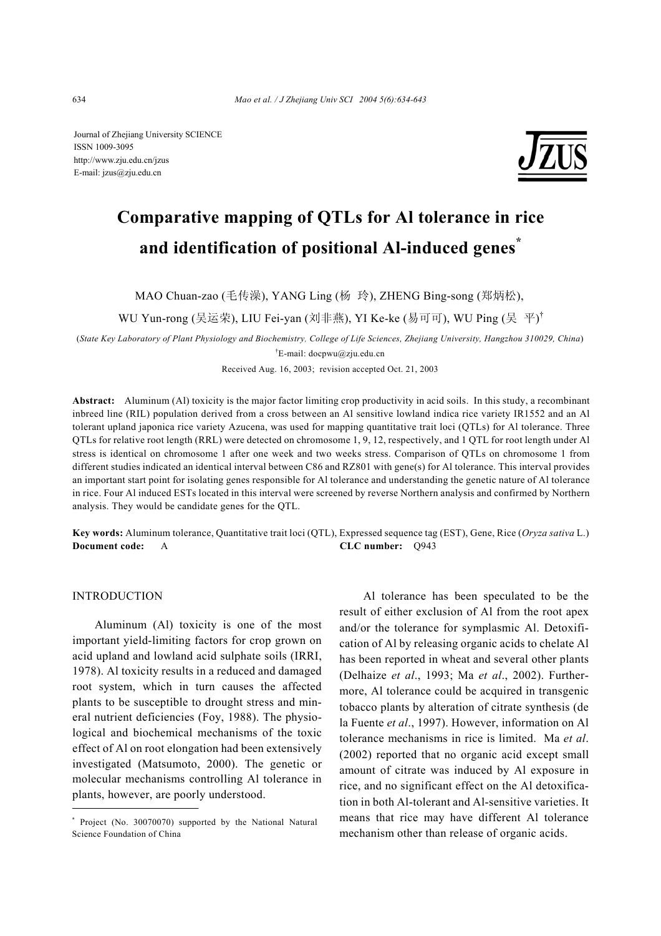Journal of Zhejiang University SCIENCE ISSN 1009-3095 http://www.zju.edu.cn/jzus E-mail: jzus@zju.edu.cn



# **Comparative mapping of QTLs for Al tolerance in rice and identification of positional Al-induced genes\***

MAO Chuan-zao (毛传澡), YANG Ling (杨 玲), ZHENG Bing-song (郑炳松),

WU Yun-rong (吴运荣), LIU Fei-yan (刘非燕), YI Ke-ke (易可可), WU Ping (吴平)<sup>†</sup>

(*State Key Laboratory of Plant Physiology and Biochemistry, College of Life Sciences, Zhejiang University, Hangzhou 310029, China*) † E-mail: docpwu@zju.edu.cn

Received Aug. 16, 2003; revision accepted Oct. 21, 2003

**Abstract:** Aluminum (Al) toxicity is the major factor limiting crop productivity in acid soils. In this study, a recombinant inbreed line (RIL) population derived from a cross between an Al sensitive lowland indica rice variety IR1552 and an Al tolerant upland japonica rice variety Azucena, was used for mapping quantitative trait loci (QTLs) for Al tolerance. Three QTLs for relative root length (RRL) were detected on chromosome 1, 9, 12, respectively, and 1 QTL for root length under Al stress is identical on chromosome 1 after one week and two weeks stress. Comparison of QTLs on chromosome 1 from different studies indicated an identical interval between C86 and RZ801 with gene(s) for Al tolerance. This interval provides an important start point for isolating genes responsible for Al tolerance and understanding the genetic nature of Al tolerance in rice. Four Al induced ESTs located in this interval were screened by reverse Northern analysis and confirmed by Northern analysis. They would be candidate genes for the QTL.

**Key words:** Aluminum tolerance, Quantitative trait loci (QTL), Expressed sequence tag (EST), Gene, Rice (*Oryza sativa* L.) **Document code:** A **CLC number:** Q943

# INTRODUCTION

Aluminum (Al) toxicity is one of the most important yield-limiting factors for crop grown on acid upland and lowland acid sulphate soils (IRRI, 1978). Al toxicity results in a reduced and damaged root system, which in turn causes the affected plants to be susceptible to drought stress and mineral nutrient deficiencies (Foy, 1988). The physiological and biochemical mechanisms of the toxic effect of Al on root elongation had been extensively investigated (Matsumoto, 2000). The genetic or molecular mechanisms controlling Al tolerance in plants, however, are poorly understood.

Al tolerance has been speculated to be the result of either exclusion of Al from the root apex and/or the tolerance for symplasmic Al. Detoxification of Al by releasing organic acids to chelate Al has been reported in wheat and several other plants (Delhaize *et al*., 1993; Ma *et al*., 2002). Furthermore, Al tolerance could be acquired in transgenic tobacco plants by alteration of citrate synthesis (de la Fuente *et al*., 1997). However, information on Al tolerance mechanisms in rice is limited. Ma *et al*. (2002) reported that no organic acid except small amount of citrate was induced by Al exposure in rice, and no significant effect on the Al detoxification in both Al-tolerant and Al-sensitive varieties. It means that rice may have different Al tolerance mechanism other than release of organic acids.

<sup>\*</sup> Project (No. 30070070) supported by the National Natural Science Foundation of China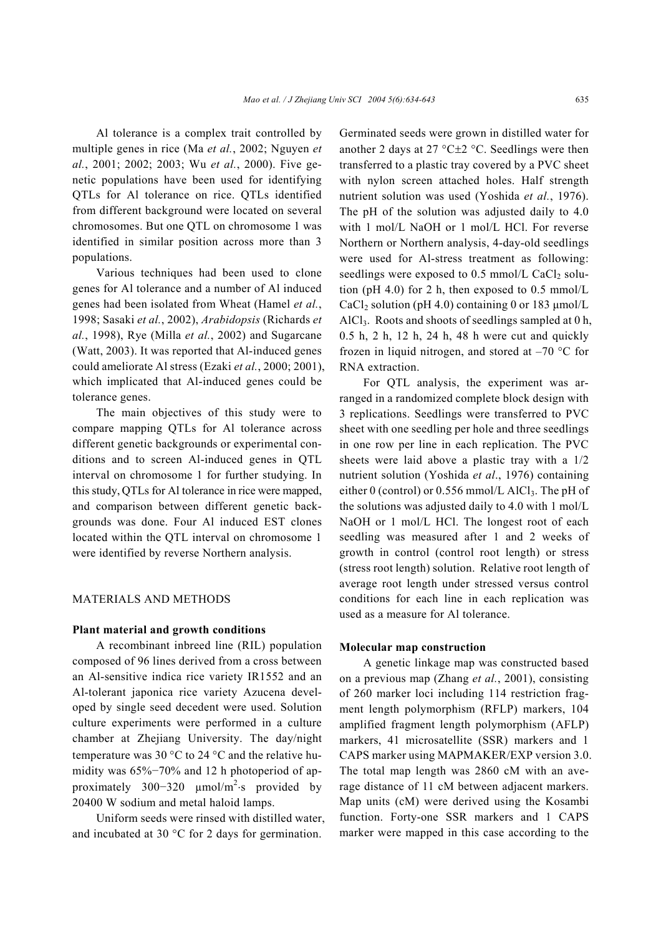Al tolerance is a complex trait controlled by multiple genes in rice (Ma *et al.*, 2002; Nguyen *et al.*, 2001; 2002; 2003; Wu *et al.*, 2000). Five genetic populations have been used for identifying QTLs for Al tolerance on rice. QTLs identified from different background were located on several chromosomes. But one QTL on chromosome 1 was identified in similar position across more than 3 populations.

Various techniques had been used to clone genes for Al tolerance and a number of Al induced genes had been isolated from Wheat (Hamel *et al.*, 1998; Sasaki *et al.*, 2002), *Arabidopsis* (Richards *et al.*, 1998), Rye (Milla *et al.*, 2002) and Sugarcane (Watt, 2003). It was reported that Al-induced genes could ameliorate Al stress (Ezaki *et al.*, 2000; 2001), which implicated that Al-induced genes could be tolerance genes.

The main objectives of this study were to compare mapping QTLs for Al tolerance across different genetic backgrounds or experimental conditions and to screen Al-induced genes in QTL interval on chromosome 1 for further studying. In this study, QTLs for Al tolerance in rice were mapped, and comparison between different genetic backgrounds was done. Four Al induced EST clones located within the QTL interval on chromosome 1 were identified by reverse Northern analysis.

### MATERIALS AND METHODS

#### **Plant material and growth conditions**

A recombinant inbreed line (RIL) population composed of 96 lines derived from a cross between an Al-sensitive indica rice variety IR1552 and an Al-tolerant japonica rice variety Azucena developed by single seed decedent were used. Solution culture experiments were performed in a culture chamber at Zhejiang University. The day/night temperature was 30 °C to 24 °C and the relative humidity was 65%−70% and 12 h photoperiod of approximately 300–320  $\mu$ mol/m<sup>2</sup>⋅s provided by 20400 W sodium and metal haloid lamps.

Uniform seeds were rinsed with distilled water, and incubated at 30 °C for 2 days for germination.

Germinated seeds were grown in distilled water for another 2 days at 27 °C $\pm$ 2 °C. Seedlings were then transferred to a plastic tray covered by a PVC sheet with nylon screen attached holes. Half strength nutrient solution was used (Yoshida *et al.*, 1976). The pH of the solution was adjusted daily to 4.0 with 1 mol/L NaOH or 1 mol/L HCl. For reverse Northern or Northern analysis, 4-day-old seedlings were used for Al-stress treatment as following: seedlings were exposed to  $0.5$  mmol/L CaCl<sub>2</sub> solution (pH 4.0) for 2 h, then exposed to  $0.5 \text{ mmol/L}$ CaCl<sub>2</sub> solution (pH 4.0) containing 0 or 183  $\mu$ mol/L AlCl<sub>3</sub>. Roots and shoots of seedlings sampled at  $0$  h, 0.5 h, 2 h, 12 h, 24 h, 48 h were cut and quickly frozen in liquid nitrogen, and stored at  $-70$  °C for RNA extraction.

For QTL analysis, the experiment was arranged in a randomized complete block design with 3 replications. Seedlings were transferred to PVC sheet with one seedling per hole and three seedlings in one row per line in each replication. The PVC sheets were laid above a plastic tray with a 1/2 nutrient solution (Yoshida *et al*., 1976) containing either 0 (control) or 0.556 mmol/L AlCl<sub>3</sub>. The pH of the solutions was adjusted daily to 4.0 with 1 mol/L NaOH or 1 mol/L HCl. The longest root of each seedling was measured after 1 and 2 weeks of growth in control (control root length) or stress (stress root length) solution. Relative root length of average root length under stressed versus control conditions for each line in each replication was used as a measure for Al tolerance.

# **Molecular map construction**

A genetic linkage map was constructed based on a previous map (Zhang *et al.*, 2001), consisting of 260 marker loci including 114 restriction fragment length polymorphism (RFLP) markers, 104 amplified fragment length polymorphism (AFLP) markers, 41 microsatellite (SSR) markers and 1 CAPS marker using MAPMAKER/EXP version 3.0. The total map length was 2860 cM with an average distance of 11 cM between adjacent markers. Map units (cM) were derived using the Kosambi function. Forty-one SSR markers and 1 CAPS marker were mapped in this case according to the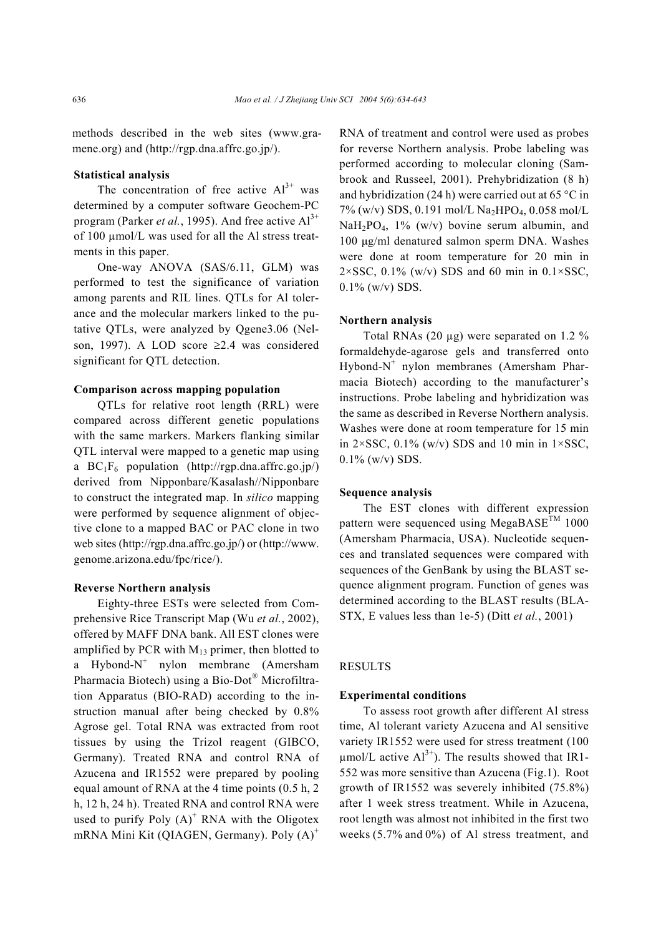methods described in the web sites (www.gramene.org) and (http://rgp.dna.affrc.go.jp/).

### **Statistical analysis**

The concentration of free active  $Al^{3+}$  was determined by a computer software Geochem-PC program (Parker *et al.*, 1995). And free active  $Al<sup>3+</sup>$ of 100 µmol/L was used for all the Al stress treatments in this paper.

One-way ANOVA (SAS/6.11, GLM) was performed to test the significance of variation among parents and RIL lines. QTLs for Al tolerance and the molecular markers linked to the putative QTLs, were analyzed by Qgene3.06 (Nelson, 1997). A LOD score ≥2.4 was considered significant for QTL detection.

### **Comparison across mapping population**

QTLs for relative root length (RRL) were compared across different genetic populations with the same markers. Markers flanking similar QTL interval were mapped to a genetic map using a  $BC_1F_6$  population (http://rgp.dna.affrc.go.jp/) derived from Nipponbare/Kasalash//Nipponbare to construct the integrated map. In *silico* mapping were performed by sequence alignment of objective clone to a mapped BAC or PAC clone in two web sites (http://rgp.dna.affrc.go.jp/) or (http://www. genome.arizona.edu/fpc/rice/).

#### **Reverse Northern analysis**

Eighty-three ESTs were selected from Comprehensive Rice Transcript Map (Wu *et al.*, 2002), offered by MAFF DNA bank. All EST clones were amplified by PCR with  $M_{13}$  primer, then blotted to a Hybond- $N^+$  nylon membrane (Amersham Pharmacia Biotech) using a Bio-Dot® Microfiltration Apparatus (BIO-RAD) according to the instruction manual after being checked by 0.8% Agrose gel. Total RNA was extracted from root tissues by using the Trizol reagent (GIBCO, Germany). Treated RNA and control RNA of Azucena and IR1552 were prepared by pooling equal amount of RNA at the 4 time points (0.5 h, 2 h, 12 h, 24 h). Treated RNA and control RNA were used to purify Poly  $(A)^+$  RNA with the Oligotex mRNA Mini Kit (QIAGEN, Germany). Poly  $(A)^+$ 

RNA of treatment and control were used as probes for reverse Northern analysis. Probe labeling was performed according to molecular cloning (Sambrook and Russeel, 2001). Prehybridization (8 h) and hybridization (24 h) were carried out at 65 °C in 7% (w/v) SDS, 0.191 mol/L Na<sub>2</sub>HPO<sub>4</sub>, 0.058 mol/L NaH<sub>2</sub>PO<sub>4</sub>, 1% (w/v) bovine serum albumin, and 100 µg/ml denatured salmon sperm DNA. Washes were done at room temperature for 20 min in  $2 \times SSC$ , 0.1% (w/v) SDS and 60 min in 0.1×SSC,  $0.1\%$  (w/y) SDS.

#### **Northern analysis**

Total RNAs (20 µg) were separated on 1.2 % formaldehyde-agarose gels and transferred onto Hybond-N<sup>+</sup> nylon membranes (Amersham Pharmacia Biotech) according to the manufacturer's instructions. Probe labeling and hybridization was the same as described in Reverse Northern analysis. Washes were done at room temperature for 15 min in  $2 \times SSC$ , 0.1% (w/v) SDS and 10 min in  $1 \times SSC$ , 0.1% (w/v) SDS.

## **Sequence analysis**

The EST clones with different expression pattern were sequenced using MegaBASE<sup>TM</sup> 1000 (Amersham Pharmacia, USA). Nucleotide sequences and translated sequences were compared with sequences of the GenBank by using the BLAST sequence alignment program. Function of genes was determined according to the BLAST results (BLA-STX, E values less than 1e-5) (Ditt *et al.*, 2001)

# RESULTS

#### **Experimental conditions**

To assess root growth after different Al stress time, Al tolerant variety Azucena and Al sensitive variety IR1552 were used for stress treatment (100  $\mu$ mol/L active Al<sup>3+</sup>). The results showed that IR1-552 was more sensitive than Azucena (Fig.1). Root growth of IR1552 was severely inhibited (75.8%) after 1 week stress treatment. While in Azucena, root length was almost not inhibited in the first two weeks (5.7% and 0%) of Al stress treatment, and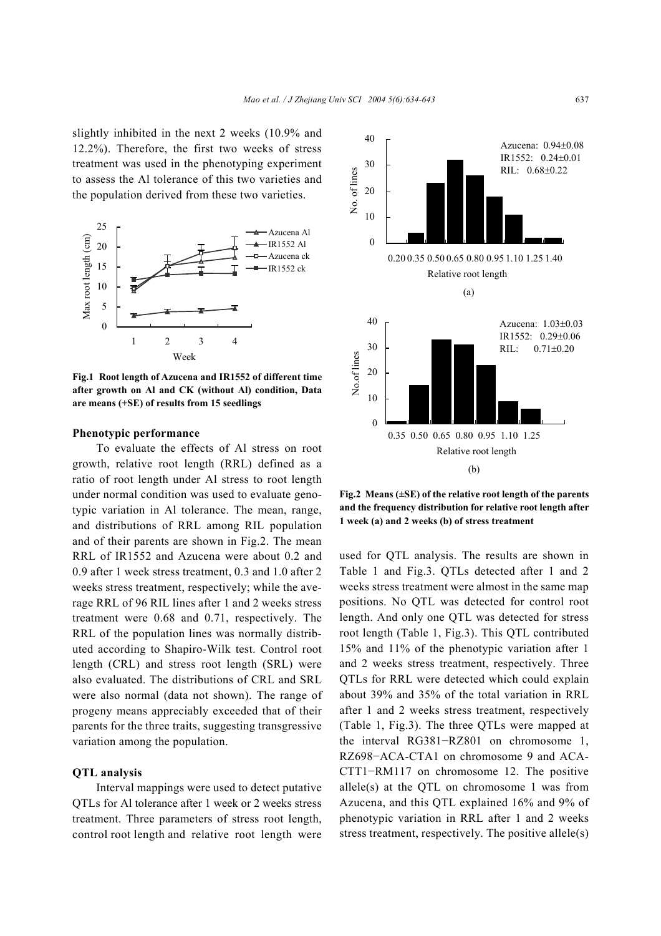slightly inhibited in the next 2 weeks (10.9% and 12.2%). Therefore, the first two weeks of stress treatment was used in the phenotyping experiment to assess the Al tolerance of this two varieties and the population derived from these two varieties.



**Fig.1 Root length of Azucena and IR1552 of different time after growth on Al and CK (without Al) condition, Data are means (+SE) of results from 15 seedlings**

#### **Phenotypic performance**

To evaluate the effects of Al stress on root growth, relative root length (RRL) defined as a ratio of root length under Al stress to root length under normal condition was used to evaluate genotypic variation in Al tolerance. The mean, range, and distributions of RRL among RIL population and of their parents are shown in Fig.2. The mean RRL of IR1552 and Azucena were about 0.2 and 0.9 after 1 week stress treatment, 0.3 and 1.0 after 2 weeks stress treatment, respectively; while the average RRL of 96 RIL lines after 1 and 2 weeks stress treatment were 0.68 and 0.71, respectively. The RRL of the population lines was normally distributed according to Shapiro-Wilk test. Control root length (CRL) and stress root length (SRL) were also evaluated. The distributions of CRL and SRL were also normal (data not shown). The range of progeny means appreciably exceeded that of their parents for the three traits, suggesting transgressive variation among the population.

#### **QTL analysis**

Interval mappings were used to detect putative QTLs for Al tolerance after 1 week or 2 weeks stress treatment. Three parameters of stress root length, control root length and relative root length were



**Fig.2 Means (±SE) of the relative root length of the parents and the frequency distribution for relative root length after 1 week (a) and 2 weeks (b) of stress treatment** 

used for QTL analysis. The results are shown in Table 1 and Fig.3. QTLs detected after 1 and 2 weeks stress treatment were almost in the same map positions. No QTL was detected for control root length. And only one QTL was detected for stress root length (Table 1, Fig.3). This QTL contributed 15% and 11% of the phenotypic variation after 1 and 2 weeks stress treatment, respectively. Three QTLs for RRL were detected which could explain about 39% and 35% of the total variation in RRL after 1 and 2 weeks stress treatment, respectively (Table 1, Fig.3). The three QTLs were mapped at the interval RG381−RZ801 on chromosome 1, RZ698−ACA-CTA1 on chromosome 9 and ACA-CTT1−RM117 on chromosome 12. The positive allele(s) at the QTL on chromosome 1 was from Azucena, and this QTL explained 16% and 9% of phenotypic variation in RRL after 1 and 2 weeks stress treatment, respectively. The positive allele(s)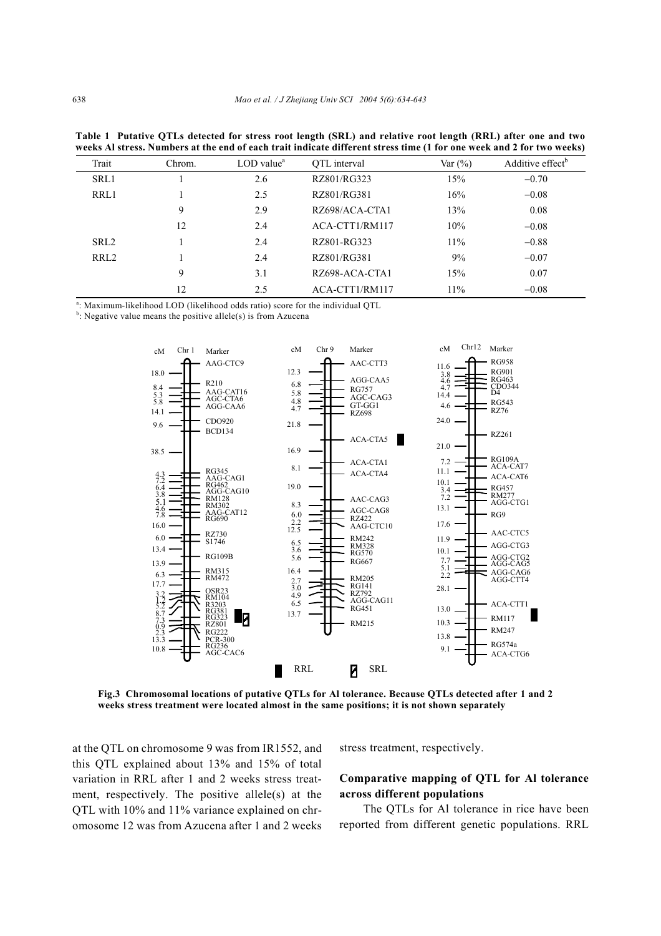| weeks Al stress. Numbers at the end of each trait indicate different stress time (1 for one week and 2 for two weeks) |    |                                       |                |            |                              |  |
|-----------------------------------------------------------------------------------------------------------------------|----|---------------------------------------|----------------|------------|------------------------------|--|
| Trait<br>Chrom.                                                                                                       |    | $LOD$ value <sup><math>a</math></sup> | OTL interval   | Var $(\%)$ | Additive effect <sup>b</sup> |  |
| SRL1                                                                                                                  |    | 2.6                                   | RZ801/RG323    | 15%        | $-0.70$                      |  |
| RRL1                                                                                                                  |    | 2.5                                   | RZ801/RG381    | 16%        | $-0.08$                      |  |
|                                                                                                                       | 9  | 2.9                                   | RZ698/ACA-CTA1 | 13%        | 0.08                         |  |
|                                                                                                                       | 12 | 2.4                                   | ACA-CTT1/RM117 | 10%        | $-0.08$                      |  |
| SRL <sub>2</sub>                                                                                                      |    | 2.4                                   | RZ801-RG323    | 11%        | $-0.88$                      |  |
| RRL <sub>2</sub>                                                                                                      |    | 2.4                                   | RZ801/RG381    | 9%         | $-0.07$                      |  |
|                                                                                                                       | 9  | 3.1                                   | RZ698-ACA-CTA1 | 15%        | 0.07                         |  |
|                                                                                                                       | 12 | 2.5                                   | ACA-CTT1/RM117 | $11\%$     | $-0.08$                      |  |

**Table 1 Putative QTLs detected for stress root length (SRL) and relative root length (RRL) after one and two weeks Al stress. Numbers at the end of each trait indicate different stress time (1 for one week and 2 for two weeks)**

<sup>a</sup>: Maximum-likelihood LOD (likelihood odds ratio) score for the individual QTL

<sup>b</sup>: Negative value means the positive allele(s) is from Azucena



**Fig.3 Chromosomal locations of putative QTLs for Al tolerance. Because QTLs detected after 1 and 2 weeks stress treatment were located almost in the same positions; it is not shown separately** 

at the QTL on chromosome 9 was from IR1552, and this QTL explained about 13% and 15% of total variation in RRL after 1 and 2 weeks stress treatment, respectively. The positive allele(s) at the QTL with 10% and 11% variance explained on chromosome 12 was from Azucena after 1 and 2 weeks stress treatment, respectively.

# **Comparative mapping of QTL for Al tolerance across different populations**

The QTLs for Al tolerance in rice have been reported from different genetic populations. RRL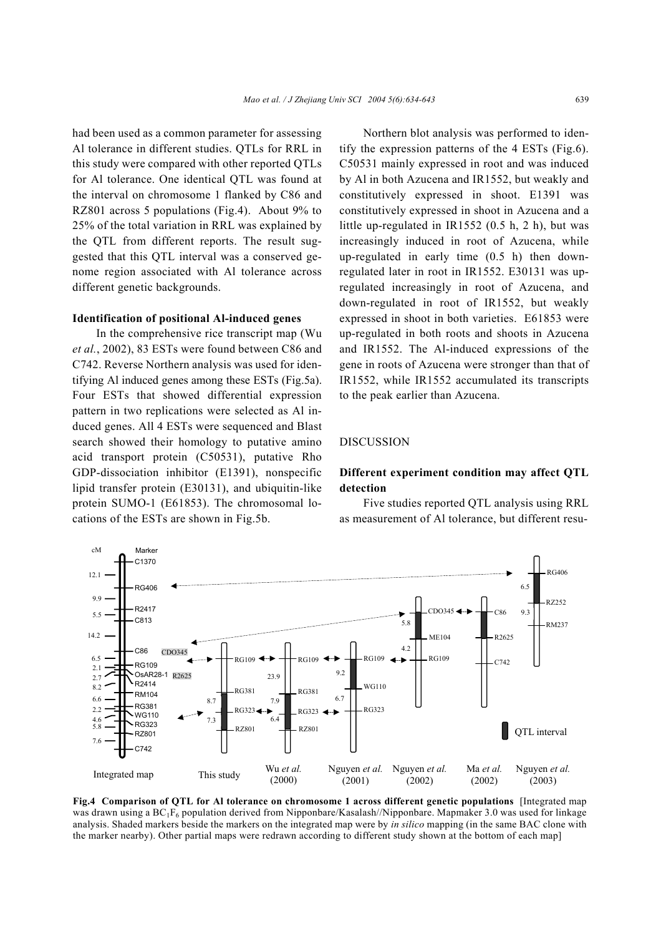had been used as a common parameter for assessing Al tolerance in different studies. QTLs for RRL in this study were compared with other reported QTLs for Al tolerance. One identical QTL was found at the interval on chromosome 1 flanked by C86 and RZ801 across 5 populations (Fig.4). About 9% to 25% of the total variation in RRL was explained by the QTL from different reports. The result suggested that this QTL interval was a conserved genome region associated with Al tolerance across different genetic backgrounds.

#### **Identification of positional Al-induced genes**

In the comprehensive rice transcript map (Wu *et al.*, 2002), 83 ESTs were found between C86 and C742. Reverse Northern analysis was used for identifying Al induced genes among these ESTs (Fig.5a). Four ESTs that showed differential expression pattern in two replications were selected as Al induced genes. All 4 ESTs were sequenced and Blast search showed their homology to putative amino acid transport protein (C50531), putative Rho GDP-dissociation inhibitor (E1391), nonspecific lipid transfer protein (E30131), and ubiquitin-like protein SUMO-1 (E61853). The chromosomal locations of the ESTs are shown in Fig.5b.

Northern blot analysis was performed to identify the expression patterns of the 4 ESTs (Fig.6). C50531 mainly expressed in root and was induced by Al in both Azucena and IR1552, but weakly and constitutively expressed in shoot. E1391 was constitutively expressed in shoot in Azucena and a little up-regulated in IR1552 (0.5 h, 2 h), but was increasingly induced in root of Azucena, while up-regulated in early time (0.5 h) then downregulated later in root in IR1552. E30131 was upregulated increasingly in root of Azucena, and down-regulated in root of IR1552, but weakly expressed in shoot in both varieties. E61853 were up-regulated in both roots and shoots in Azucena and IR1552. The Al-induced expressions of the gene in roots of Azucena were stronger than that of IR1552, while IR1552 accumulated its transcripts to the peak earlier than Azucena.

#### DISCUSSION

# **Different experiment condition may affect QTL detection**

Five studies reported QTL analysis using RRL as measurement of Al tolerance, but different resu-



**Fig.4 Comparison of QTL for Al tolerance on chromosome 1 across different genetic populations** [Integrated map was drawn using a BC<sub>1</sub>F<sub>6</sub> population derived from Nipponbare/Kasalash//Nipponbare. Mapmaker 3.0 was used for linkage analysis. Shaded markers beside the markers on the integrated map were by *in silico* mapping (in the same BAC clone with the marker nearby). Other partial maps were redrawn according to different study shown at the bottom of each map]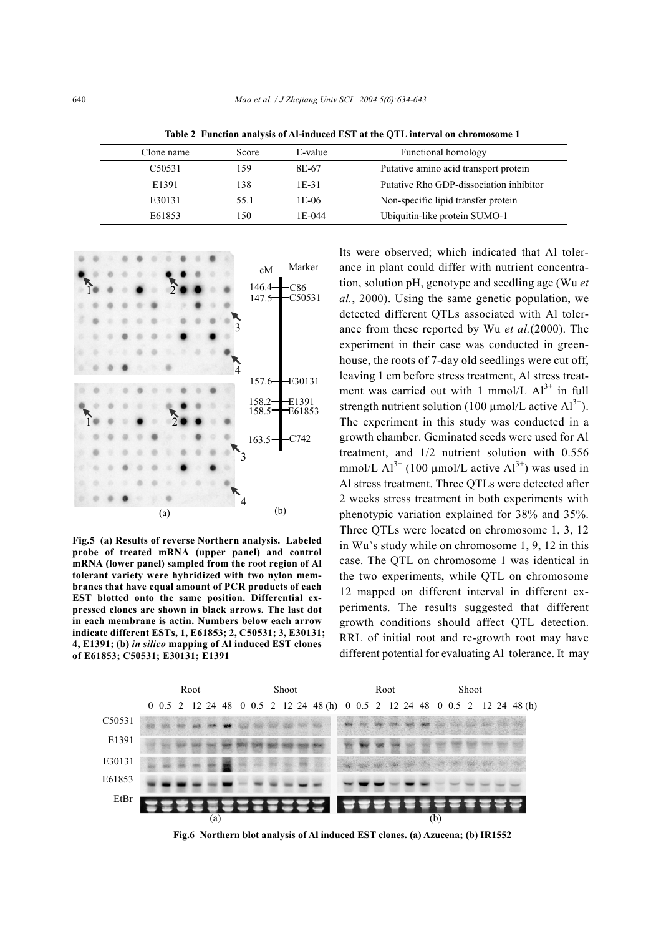| Clone name          | Score | E-value | Functional homology                     |
|---------------------|-------|---------|-----------------------------------------|
| C <sub>5</sub> 0531 | 159   | 8E-67   | Putative amino acid transport protein   |
| E1391               | 138   | $1E-31$ | Putative Rho GDP-dissociation inhibitor |
| E30131              | 55.1  | 1E-06   | Non-specific lipid transfer protein     |
| E61853              | 150   | 1E-044  | Ubiquitin-like protein SUMO-1           |

**Table 2 Function analysis of Al-induced EST at the QTL interval on chromosome 1** 



**Fig.5 (a) Results of reverse Northern analysis. Labeled probe of treated mRNA (upper panel) and control mRNA (lower panel) sampled from the root region of Al tolerant variety were hybridized with two nylon membranes that have equal amount of PCR products of each EST blotted onto the same position. Differential expressed clones are shown in black arrows. The last dot in each membrane is actin. Numbers below each arrow indicate different ESTs, 1, E61853; 2, C50531; 3, E30131; 4, E1391; (b)** *in silico* **mapping of Al induced EST clones of E61853; C50531; E30131; E1391** 

lts were observed; which indicated that Al tolerance in plant could differ with nutrient concentration, solution pH, genotype and seedling age (Wu *et al.*, 2000). Using the same genetic population, we detected different QTLs associated with Al tolerance from these reported by Wu *et al.*(2000). The experiment in their case was conducted in greenhouse, the roots of 7-day old seedlings were cut off, leaving 1 cm before stress treatment, Al stress treatment was carried out with 1 mmol/L  $Al^{3+}$  in full strength nutrient solution (100  $\mu$ mol/L active Al<sup>3+</sup>). The experiment in this study was conducted in a growth chamber. Geminated seeds were used for Al treatment, and 1/2 nutrient solution with 0.556 mmol/L  $Al^{3+}$  (100 µmol/L active  $Al^{3+}$ ) was used in Al stress treatment. Three QTLs were detected after 2 weeks stress treatment in both experiments with phenotypic variation explained for 38% and 35%. Three QTLs were located on chromosome 1, 3, 12 in Wu's study while on chromosome 1, 9, 12 in this case. The QTL on chromosome 1 was identical in the two experiments, while QTL on chromosome 12 mapped on different interval in different experiments. The results suggested that different growth conditions should affect QTL detection. RRL of initial root and re-growth root may have different potential for evaluating Al tolerance. It may



**Fig.6 Northern blot analysis of Al induced EST clones. (a) Azucena; (b) IR1552**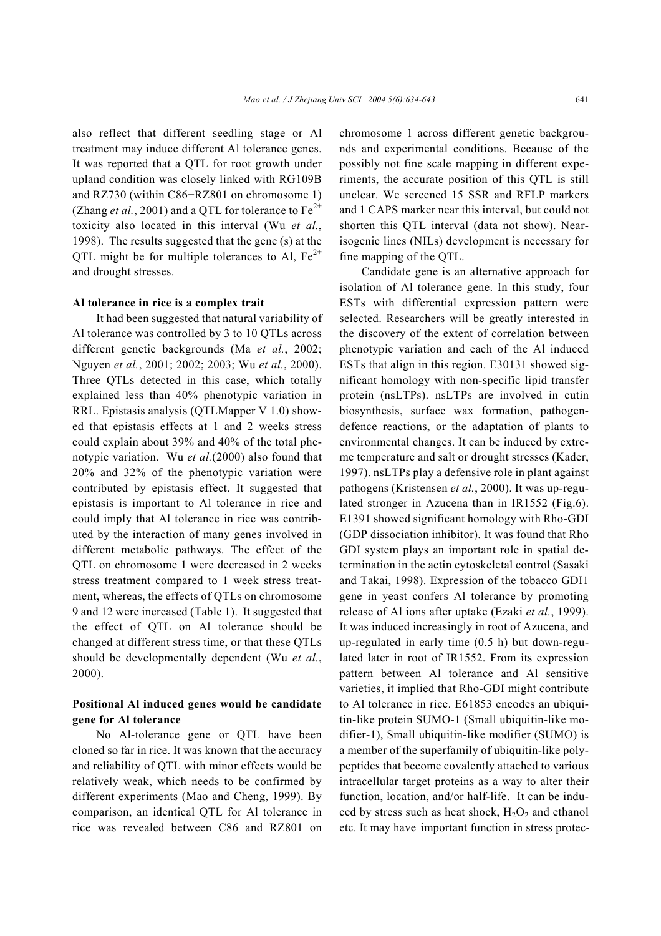also reflect that different seedling stage or Al treatment may induce different Al tolerance genes. It was reported that a QTL for root growth under upland condition was closely linked with RG109B and RZ730 (within C86−RZ801 on chromosome 1) (Zhang *et al.*, 2001) and a QTL for tolerance to  $Fe^{2+}$ toxicity also located in this interval (Wu *et al.*, 1998). The results suggested that the gene (s) at the QTL might be for multiple tolerances to Al,  $Fe<sup>2+</sup>$ and drought stresses.

#### **Al tolerance in rice is a complex trait**

It had been suggested that natural variability of Al tolerance was controlled by 3 to 10 QTLs across different genetic backgrounds (Ma *et al.*, 2002; Nguyen *et al.*, 2001; 2002; 2003; Wu *et al.*, 2000). Three QTLs detected in this case, which totally explained less than 40% phenotypic variation in RRL. Epistasis analysis (QTLMapper V 1.0) showed that epistasis effects at 1 and 2 weeks stress could explain about 39% and 40% of the total phenotypic variation. Wu *et al.*(2000) also found that 20% and 32% of the phenotypic variation were contributed by epistasis effect. It suggested that epistasis is important to Al tolerance in rice and could imply that Al tolerance in rice was contributed by the interaction of many genes involved in different metabolic pathways. The effect of the QTL on chromosome 1 were decreased in 2 weeks stress treatment compared to 1 week stress treatment, whereas, the effects of QTLs on chromosome 9 and 12 were increased (Table 1). It suggested that the effect of QTL on Al tolerance should be changed at different stress time, or that these QTLs should be developmentally dependent (Wu *et al.*, 2000).

# **Positional Al induced genes would be candidate gene for Al tolerance**

No Al-tolerance gene or QTL have been cloned so far in rice. It was known that the accuracy and reliability of QTL with minor effects would be relatively weak, which needs to be confirmed by different experiments (Mao and Cheng, 1999). By comparison, an identical QTL for Al tolerance in rice was revealed between C86 and RZ801 on chromosome 1 across different genetic backgrounds and experimental conditions. Because of the possibly not fine scale mapping in different experiments, the accurate position of this QTL is still unclear. We screened 15 SSR and RFLP markers and 1 CAPS marker near this interval, but could not shorten this QTL interval (data not show). Nearisogenic lines (NILs) development is necessary for fine mapping of the QTL.

Candidate gene is an alternative approach for isolation of Al tolerance gene. In this study, four ESTs with differential expression pattern were selected. Researchers will be greatly interested in the discovery of the extent of correlation between phenotypic variation and each of the Al induced ESTs that align in this region. E30131 showed significant homology with non-specific lipid transfer protein (nsLTPs). nsLTPs are involved in cutin biosynthesis, surface wax formation, pathogendefence reactions, or the adaptation of plants to environmental changes. It can be induced by extreme temperature and salt or drought stresses (Kader, 1997). nsLTPs play a defensive role in plant against pathogens (Kristensen *et al.*, 2000). It was up-regulated stronger in Azucena than in IR1552 (Fig.6). E1391 showed significant homology with Rho-GDI (GDP dissociation inhibitor). It was found that Rho GDI system plays an important role in spatial determination in the actin cytoskeletal control (Sasaki and Takai, 1998). Expression of the tobacco GDI1 gene in yeast confers Al tolerance by promoting release of Al ions after uptake (Ezaki *et al.*, 1999). It was induced increasingly in root of Azucena, and up-regulated in early time (0.5 h) but down-regulated later in root of IR1552. From its expression pattern between Al tolerance and Al sensitive varieties, it implied that Rho-GDI might contribute to Al tolerance in rice. E61853 encodes an ubiquitin-like protein SUMO-1 (Small ubiquitin-like modifier-1), Small ubiquitin-like modifier (SUMO) is a member of the superfamily of ubiquitin-like polypeptides that become covalently attached to various intracellular target proteins as a way to alter their function, location, and/or half-life. It can be induced by stress such as heat shock,  $H_2O_2$  and ethanol etc. It may have important function in stress protec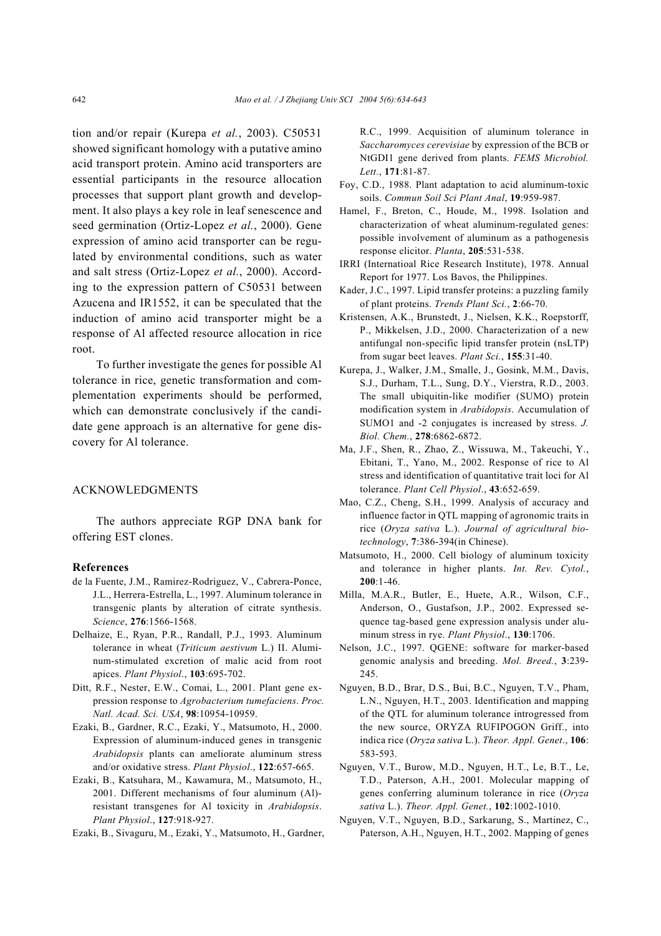tion and/or repair (Kurepa *et al.*, 2003). C50531 showed significant homology with a putative amino acid transport protein. Amino acid transporters are essential participants in the resource allocation processes that support plant growth and development. It also plays a key role in leaf senescence and seed germination (Ortiz-Lopez *et al.*, 2000). Gene expression of amino acid transporter can be regulated by environmental conditions, such as water and salt stress (Ortiz-Lopez *et al.*, 2000). According to the expression pattern of C50531 between Azucena and IR1552, it can be speculated that the induction of amino acid transporter might be a response of Al affected resource allocation in rice root.

To further investigate the genes for possible Al tolerance in rice, genetic transformation and complementation experiments should be performed, which can demonstrate conclusively if the candidate gene approach is an alternative for gene discovery for Al tolerance.

#### ACKNOWLEDGMENTS

The authors appreciate RGP DNA bank for offering EST clones.

#### **References**

- de la Fuente, J.M., Ramirez-Rodriguez, V., Cabrera-Ponce, J.L., Herrera-Estrella, L., 1997. Aluminum tolerance in transgenic plants by alteration of citrate synthesis. *Science*, **276**:1566-1568.
- Delhaize, E., Ryan, P.R., Randall, P.J., 1993. Aluminum tolerance in wheat (*Triticum aestivum* L.) II. Aluminum-stimulated excretion of malic acid from root apices. *Plant Physiol*., **103**:695-702.
- Ditt, R.F., Nester, E.W., Comai, L., 2001. Plant gene expression response to *Agrobacterium tumefaciens*. *Proc. Natl. Acad. Sci. USA*, **98**:10954-10959.
- Ezaki, B., Gardner, R.C., Ezaki, Y., Matsumoto, H., 2000. Expression of aluminum-induced genes in transgenic *Arabidopsis* plants can ameliorate aluminum stress and/or oxidative stress. *Plant Physiol*., **122**:657-665.
- Ezaki, B., Katsuhara, M., Kawamura, M., Matsumoto, H., 2001. Different mechanisms of four aluminum (Al) resistant transgenes for Al toxicity in *Arabidopsis*. *Plant Physiol*., **127**:918-927.
- Ezaki, B., Sivaguru, M., Ezaki, Y., Matsumoto, H., Gardner,

R.C., 1999. Acquisition of aluminum tolerance in *Saccharomyces cerevisiae* by expression of the BCB or NtGDI1 gene derived from plants. *FEMS Microbiol. Lett.*, **171**:81-87.

- Foy, C.D., 1988. Plant adaptation to acid aluminum-toxic soils. *Commun Soil Sci Plant Anal*, **19**:959-987.
- Hamel, F., Breton, C., Houde, M., 1998. Isolation and characterization of wheat aluminum-regulated genes: possible involvement of aluminum as a pathogenesis response elicitor. *Planta*, **205**:531-538.
- IRRI (Internatioal Rice Research Institute), 1978. Annual Report for 1977. Los Bavos, the Philippines.
- Kader, J.C., 1997. Lipid transfer proteins: a puzzling family of plant proteins. *Trends Plant Sci.*, **2**:66-70.
- Kristensen, A.K., Brunstedt, J., Nielsen, K.K., Roepstorff, P., Mikkelsen, J.D., 2000. Characterization of a new antifungal non-specific lipid transfer protein (nsLTP) from sugar beet leaves. *Plant Sci.*, **155**:31-40.
- Kurepa, J., Walker, J.M., Smalle, J., Gosink, M.M., Davis, S.J., Durham, T.L., Sung, D.Y., Vierstra, R.D., 2003. The small ubiquitin-like modifier (SUMO) protein modification system in *Arabidopsis*. Accumulation of SUMO1 and -2 conjugates is increased by stress. *J. Biol. Chem.*, **278**:6862-6872.
- Ma, J.F., Shen, R., Zhao, Z., Wissuwa, M., Takeuchi, Y., Ebitani, T., Yano, M., 2002. Response of rice to Al stress and identification of quantitative trait loci for Al tolerance. *Plant Cell Physiol*., **43**:652-659.
- Mao, C.Z., Cheng, S.H., 1999. Analysis of accuracy and influence factor in QTL mapping of agronomic traits in rice (*Oryza sativa* L.). *Journal of agricultural biotechnology*, **7**:386-394(in Chinese).
- Matsumoto, H., 2000. Cell biology of aluminum toxicity and tolerance in higher plants. *Int. Rev. Cytol.*, **200**:1-46.
- Milla, M.A.R., Butler, E., Huete, A.R., Wilson, C.F., Anderson, O., Gustafson, J.P., 2002. Expressed sequence tag-based gene expression analysis under aluminum stress in rye. *Plant Physiol*., **130**:1706.
- Nelson, J.C., 1997. QGENE: software for marker-based genomic analysis and breeding. *Mol. Breed.*, **3**:239- 245.
- Nguyen, B.D., Brar, D.S., Bui, B.C., Nguyen, T.V., Pham, L.N., Nguyen, H.T., 2003. Identification and mapping of the QTL for aluminum tolerance introgressed from the new source, ORYZA RUFIPOGON Griff., into indica rice (*Oryza sativa* L.). *Theor. Appl. Genet*., **106**: 583-593.
- Nguyen, V.T., Burow, M.D., Nguyen, H.T., Le, B.T., Le, T.D., Paterson, A.H., 2001. Molecular mapping of genes conferring aluminum tolerance in rice (*Oryza sativa* L.). *Theor. Appl. Genet.*, **102**:1002-1010.
- Nguyen, V.T., Nguyen, B.D., Sarkarung, S., Martinez, C., Paterson, A.H., Nguyen, H.T., 2002. Mapping of genes